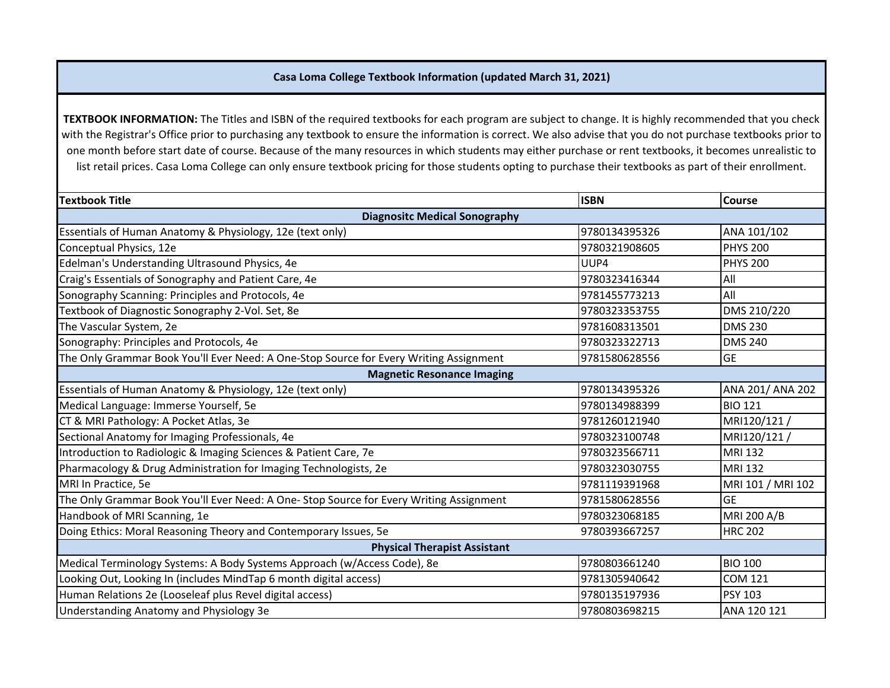## **Casa Loma College Textbook Information (updated March 31, 2021)**

**TEXTBOOK INFORMATION:** The Titles and ISBN of the required textbooks for each program are subject to change. It is highly recommended that you check with the Registrar's Office prior to purchasing any textbook to ensure the information is correct. We also advise that you do not purchase textbooks prior to one month before start date of course. Because of the many resources in which students may either purchase or rent textbooks, it becomes unrealistic to list retail prices. Casa Loma College can only ensure textbook pricing for those students opting to purchase their textbooks as part of their enrollment.

| <b>Textbook Title</b>                                                                   | <b>ISBN</b>   | Course            |  |
|-----------------------------------------------------------------------------------------|---------------|-------------------|--|
| <b>Diagnositc Medical Sonography</b>                                                    |               |                   |  |
| Essentials of Human Anatomy & Physiology, 12e (text only)                               | 9780134395326 | ANA 101/102       |  |
| Conceptual Physics, 12e                                                                 | 9780321908605 | <b>PHYS 200</b>   |  |
| Edelman's Understanding Ultrasound Physics, 4e                                          | UUP4          | <b>PHYS 200</b>   |  |
| Craig's Essentials of Sonography and Patient Care, 4e                                   | 9780323416344 | All               |  |
| Sonography Scanning: Principles and Protocols, 4e                                       | 9781455773213 | All               |  |
| Textbook of Diagnostic Sonography 2-Vol. Set, 8e                                        | 9780323353755 | DMS 210/220       |  |
| The Vascular System, 2e                                                                 | 9781608313501 | <b>DMS 230</b>    |  |
| Sonography: Principles and Protocols, 4e                                                | 9780323322713 | <b>DMS 240</b>    |  |
| The Only Grammar Book You'll Ever Need: A One-Stop Source for Every Writing Assignment  | 9781580628556 | <b>GE</b>         |  |
| <b>Magnetic Resonance Imaging</b>                                                       |               |                   |  |
| Essentials of Human Anatomy & Physiology, 12e (text only)                               | 9780134395326 | ANA 201/ ANA 202  |  |
| Medical Language: Immerse Yourself, 5e                                                  | 9780134988399 | <b>BIO 121</b>    |  |
| CT & MRI Pathology: A Pocket Atlas, 3e                                                  | 9781260121940 | MRI120/121/       |  |
| Sectional Anatomy for Imaging Professionals, 4e                                         | 9780323100748 | MRI120/121        |  |
| Introduction to Radiologic & Imaging Sciences & Patient Care, 7e                        | 9780323566711 | <b>MRI 132</b>    |  |
| Pharmacology & Drug Administration for Imaging Technologists, 2e                        | 9780323030755 | <b>MRI 132</b>    |  |
| MRI In Practice, 5e                                                                     | 9781119391968 | MRI 101 / MRI 102 |  |
| The Only Grammar Book You'll Ever Need: A One- Stop Source for Every Writing Assignment | 9781580628556 | <b>GE</b>         |  |
| Handbook of MRI Scanning, 1e                                                            | 9780323068185 | MRI 200 A/B       |  |
| Doing Ethics: Moral Reasoning Theory and Contemporary Issues, 5e                        | 9780393667257 | <b>HRC 202</b>    |  |
| <b>Physical Therapist Assistant</b>                                                     |               |                   |  |
| Medical Terminology Systems: A Body Systems Approach (w/Access Code), 8e                | 9780803661240 | <b>BIO 100</b>    |  |
| Looking Out, Looking In (includes MindTap 6 month digital access)                       | 9781305940642 | <b>COM 121</b>    |  |
| Human Relations 2e (Looseleaf plus Revel digital access)                                | 9780135197936 | <b>PSY 103</b>    |  |
| Understanding Anatomy and Physiology 3e                                                 | 9780803698215 | ANA 120 121       |  |